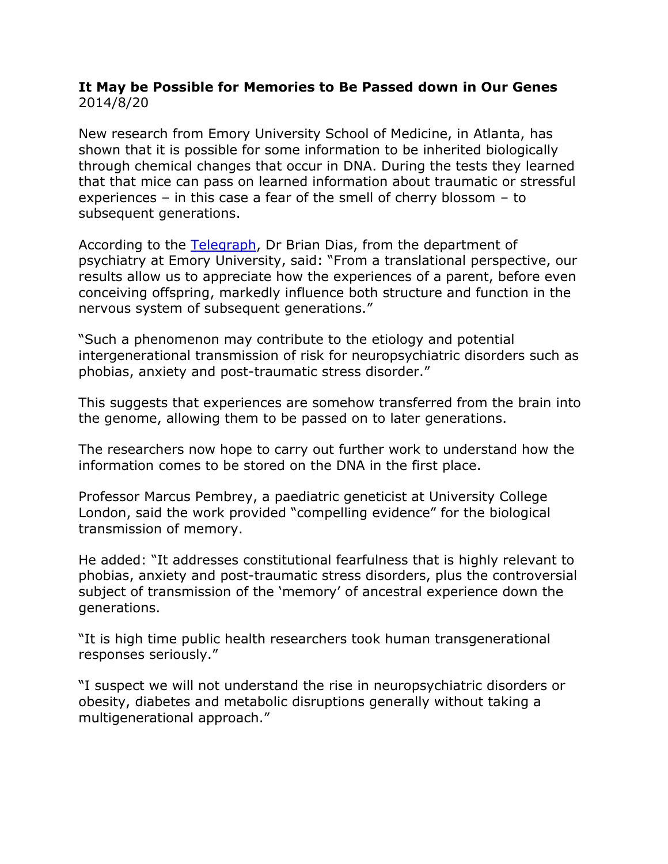## **It May be Possible for Memories to Be Passed down in Our Genes**  2014/8/20

New research from Emory University School of Medicine, in Atlanta, has shown that it is possible for some information to be inherited biologically through chemical changes that occur in DNA. During the tests they learned that that mice can pass on learned information about traumatic or stressful experiences – in this case a fear of the smell of cherry blossom – to subsequent generations.

According to the [Telegraph,](http://www.telegraph.co.uk/science/science-news/10486479/Phobias-may-be-memories-passed-down-in-genes-from-ancestors.html) Dr Brian Dias, from the department of psychiatry at Emory University, said: "From a translational perspective, our results allow us to appreciate how the experiences of a parent, before even conceiving offspring, markedly influence both structure and function in the nervous system of subsequent generations."

"Such a phenomenon may contribute to the etiology and potential intergenerational transmission of risk for neuropsychiatric disorders such as phobias, anxiety and post-traumatic stress disorder."

This suggests that experiences are somehow transferred from the brain into the genome, allowing them to be passed on to later generations.

The researchers now hope to carry out further work to understand how the information comes to be stored on the DNA in the first place.

Professor Marcus Pembrey, a paediatric geneticist at University College London, said the work provided "compelling evidence" for the biological transmission of memory.

He added: "It addresses constitutional fearfulness that is highly relevant to phobias, anxiety and post-traumatic stress disorders, plus the controversial subject of transmission of the 'memory' of ancestral experience down the generations.

"It is high time public health researchers took human transgenerational responses seriously."

"I suspect we will not understand the rise in neuropsychiatric disorders or obesity, diabetes and metabolic disruptions generally without taking a multigenerational approach."